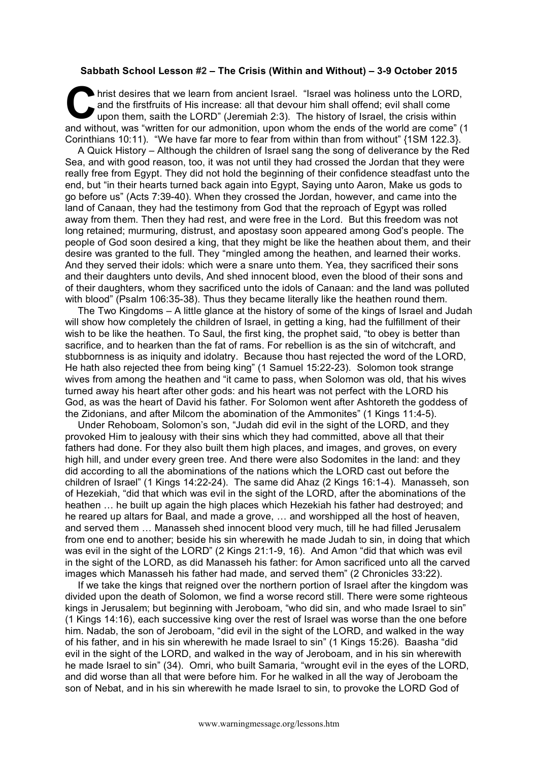## **Sabbath School Lesson #2 – The Crisis (Within and Without) – 3-9 October 2015**

hrist desires that we learn from ancient Israel. "Israel was holiness unto the LORD, and the firstfruits of His increase: all that devour him shall offend; evil shall come upon them, saith the LORD" (Jeremiah 2:3). The his and the firstfruits of His increase: all that devour him shall offend; evil shall come upon them, saith the LORD" (Jeremiah 2:3). The history of Israel, the crisis within and without, was "written for our admonition, upon whom the ends of the world are come" (1 Corinthians 10:11). "We have far more to fear from within than from without" {1SM 122.3}.

A Quick History – Although the children of Israel sang the song of deliverance by the Red Sea, and with good reason, too, it was not until they had crossed the Jordan that they were really free from Egypt. They did not hold the beginning of their confidence steadfast unto the end, but "in their hearts turned back again into Egypt, Saying unto Aaron, Make us gods to go before us" (Acts 7:39-40). When they crossed the Jordan, however, and came into the land of Canaan, they had the testimony from God that the reproach of Egypt was rolled away from them. Then they had rest, and were free in the Lord. But this freedom was not long retained; murmuring, distrust, and apostasy soon appeared among God's people. The people of God soon desired a king, that they might be like the heathen about them, and their desire was granted to the full. They "mingled among the heathen, and learned their works. And they served their idols: which were a snare unto them. Yea, they sacrificed their sons and their daughters unto devils, And shed innocent blood, even the blood of their sons and of their daughters, whom they sacrificed unto the idols of Canaan: and the land was polluted with blood" (Psalm 106:35-38). Thus they became literally like the heathen round them.

The Two Kingdoms – A little glance at the history of some of the kings of Israel and Judah will show how completely the children of Israel, in getting a king, had the fulfillment of their wish to be like the heathen. To Saul, the first king, the prophet said, "to obey is better than sacrifice, and to hearken than the fat of rams. For rebellion is as the sin of witchcraft, and stubbornness is as iniquity and idolatry. Because thou hast rejected the word of the LORD, He hath also rejected thee from being king" (1 Samuel 15:22-23). Solomon took strange wives from among the heathen and "it came to pass, when Solomon was old, that his wives turned away his heart after other gods: and his heart was not perfect with the LORD his God, as was the heart of David his father. For Solomon went after Ashtoreth the goddess of the Zidonians, and after Milcom the abomination of the Ammonites" (1 Kings 11:4-5).

Under Rehoboam, Solomon's son, "Judah did evil in the sight of the LORD, and they provoked Him to jealousy with their sins which they had committed, above all that their fathers had done. For they also built them high places, and images, and groves, on every high hill, and under every green tree. And there were also Sodomites in the land: and they did according to all the abominations of the nations which the LORD cast out before the children of Israel" (1 Kings 14:22-24). The same did Ahaz (2 Kings 16:1-4). Manasseh, son of Hezekiah, "did that which was evil in the sight of the LORD, after the abominations of the heathen … he built up again the high places which Hezekiah his father had destroyed; and he reared up altars for Baal, and made a grove, … and worshipped all the host of heaven, and served them … Manasseh shed innocent blood very much, till he had filled Jerusalem from one end to another; beside his sin wherewith he made Judah to sin, in doing that which was evil in the sight of the LORD" (2 Kings 21:1-9, 16). And Amon "did that which was evil in the sight of the LORD, as did Manasseh his father: for Amon sacrificed unto all the carved images which Manasseh his father had made, and served them" (2 Chronicles 33:22).

If we take the kings that reigned over the northern portion of Israel after the kingdom was divided upon the death of Solomon, we find a worse record still. There were some righteous kings in Jerusalem; but beginning with Jeroboam, "who did sin, and who made Israel to sin" (1 Kings 14:16), each successive king over the rest of Israel was worse than the one before him. Nadab, the son of Jeroboam, "did evil in the sight of the LORD, and walked in the way of his father, and in his sin wherewith he made Israel to sin" (1 Kings 15:26). Baasha "did evil in the sight of the LORD, and walked in the way of Jeroboam, and in his sin wherewith he made Israel to sin" (34). Omri, who built Samaria, "wrought evil in the eyes of the LORD, and did worse than all that were before him. For he walked in all the way of Jeroboam the son of Nebat, and in his sin wherewith he made Israel to sin, to provoke the LORD God of